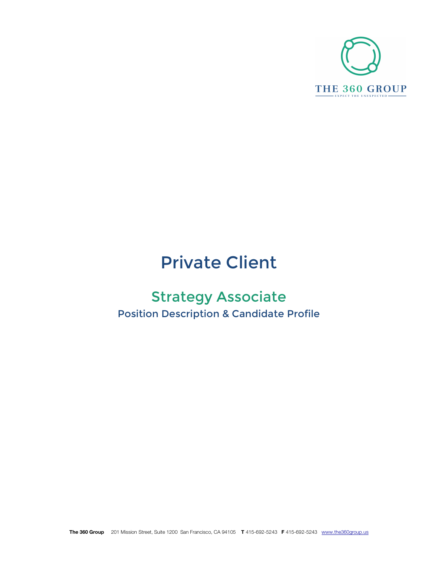

# Private Client

# Strategy Associate Position Description & Candidate Profile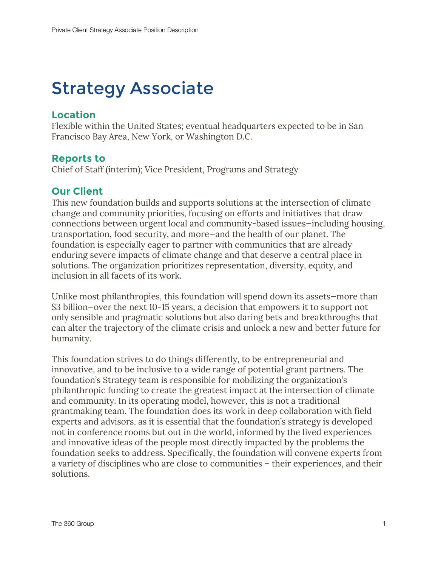# Strategy Associate

### **Location**

Flexible within the United States; eventual headquarters expected to be in San Francisco Bay Area, New York, or Washington D.C.

### **Reports to**

Chief of Staff (interim); Vice President, Programs and Strategy

### **Our Client**

This new foundation builds and supports solutions at the intersection of climate change and community priorities, focusing on efforts and initiatives that draw connections between urgent local and community-based issues—including housing, transportation, food security, and more—and the health of our planet. The foundation is especially eager to partner with communities that are already enduring severe impacts of climate change and that deserve a central place in solutions. The organization prioritizes representation, diversity, equity, and inclusion in all facets of its work.

Unlike most philanthropies, this foundation will spend down its assets—more than \$3 billion—over the next 10-15 years, a decision that empowers it to support not only sensible and pragmatic solutions but also daring bets and breakthroughs that can alter the trajectory of the climate crisis and unlock a new and better future for humanity.

This foundation strives to do things differently, to be entrepreneurial and innovative, and to be inclusive to a wide range of potential grant partners. The foundation's Strategy team is responsible for mobilizing the organization's philanthropic funding to create the greatest impact at the intersection of climate and community. In its operating model, however, this is not a traditional grantmaking team. The foundation does its work in deep collaboration with field experts and advisors, as it is essential that the foundation's strategy is developed not in conference rooms but out in the world, informed by the lived experiences and innovative ideas of the people most directly impacted by the problems the foundation seeks to address. Specifically, the foundation will convene experts from a variety of disciplines who are close to communities – their experiences, and their solutions.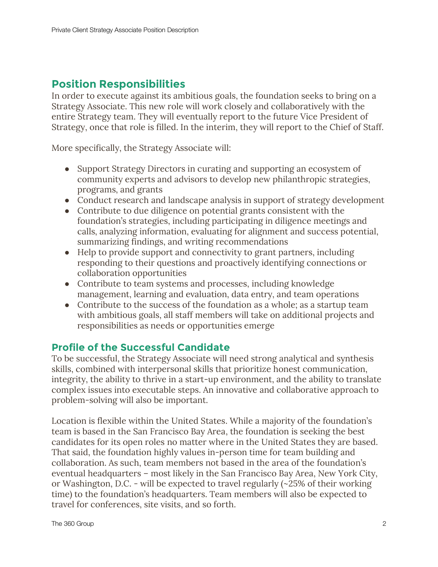# **Position Responsibilities**

In order to execute against its ambitious goals, the foundation seeks to bring on a Strategy Associate. This new role will work closely and collaboratively with the entire Strategy team. They will eventually report to the future Vice President of Strategy, once that role is filled. In the interim, they will report to the Chief of Staff.

More specifically, the Strategy Associate will:

- Support Strategy Directors in curating and supporting an ecosystem of community experts and advisors to develop new philanthropic strategies, programs, and grants
- Conduct research and landscape analysis in support of strategy development
- Contribute to due diligence on potential grants consistent with the foundation's strategies, including participating in diligence meetings and calls, analyzing information, evaluating for alignment and success potential, summarizing findings, and writing recommendations
- Help to provide support and connectivity to grant partners, including responding to their questions and proactively identifying connections or collaboration opportunities
- Contribute to team systems and processes, including knowledge management, learning and evaluation, data entry, and team operations
- Contribute to the success of the foundation as a whole; as a startup team with ambitious goals, all staff members will take on additional projects and responsibilities as needs or opportunities emerge

# **Profile of the Successful Candidate**

To be successful, the Strategy Associate will need strong analytical and synthesis skills, combined with interpersonal skills that prioritize honest communication, integrity, the ability to thrive in a start-up environment, and the ability to translate complex issues into executable steps. An innovative and collaborative approach to problem-solving will also be important.

Location is flexible within the United States. While a majority of the foundation's team is based in the San Francisco Bay Area, the foundation is seeking the best candidates for its open roles no matter where in the United States they are based. That said, the foundation highly values in-person time for team building and collaboration. As such, team members not based in the area of the foundation's eventual headquarters – most likely in the San Francisco Bay Area, New York City, or Washington, D.C. - will be expected to travel regularly (~25% of their working time) to the foundation's headquarters. Team members will also be expected to travel for conferences, site visits, and so forth.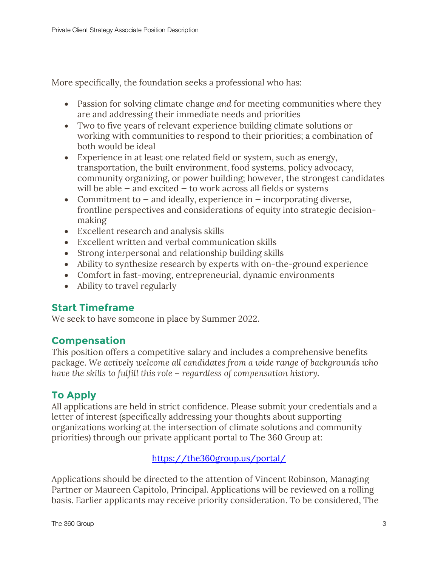More specifically, the foundation seeks a professional who has:

- Passion for solving climate change *and* for meeting communities where they are and addressing their immediate needs and priorities
- Two to five years of relevant experience building climate solutions or working with communities to respond to their priorities; a combination of both would be ideal
- Experience in at least one related field or system, such as energy, transportation, the built environment, food systems, policy advocacy, community organizing, or power building; however, the strongest candidates will be able  $-$  and excited  $-$  to work across all fields or systems
- Commitment to  $-$  and ideally, experience in  $-$  incorporating diverse, frontline perspectives and considerations of equity into strategic decisionmaking
- Excellent research and analysis skills
- Excellent written and verbal communication skills
- Strong interpersonal and relationship building skills
- Ability to synthesize research by experts with on-the-ground experience
- Comfort in fast-moving, entrepreneurial, dynamic environments
- Ability to travel regularly

# **Start Timeframe**

We seek to have someone in place by Summer 2022.

# **Compensation**

This position offers a competitive salary and includes a comprehensive benefits package. *We actively welcome all candidates from a wide range of backgrounds who have the skills to fulfill this role – regardless of compensation history.*

# **To Apply**

All applications are held in strict confidence. Please submit your credentials and a letter of interest (specifically addressing your thoughts about supporting organizations working at the intersection of climate solutions and community priorities) through our private applicant portal to The 360 Group at:

https://the360group.us/portal/

Applications should be directed to the attention of Vincent Robinson, Managing Partner or Maureen Capitolo, Principal. Applications will be reviewed on a rolling basis. Earlier applicants may receive priority consideration. To be considered, The